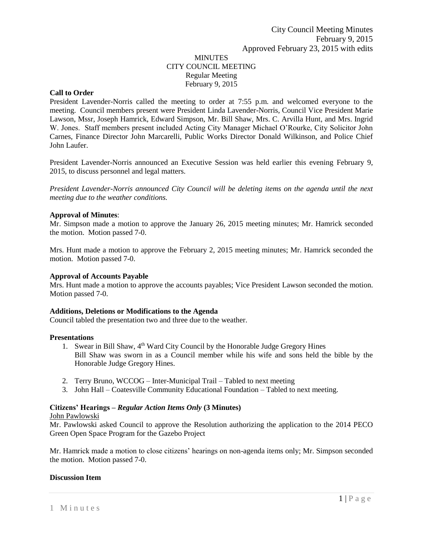# MINUTES CITY COUNCIL MEETING Regular Meeting February 9, 2015

# **Call to Order**

President Lavender-Norris called the meeting to order at 7:55 p.m. and welcomed everyone to the meeting. Council members present were President Linda Lavender-Norris, Council Vice President Marie Lawson, Mssr, Joseph Hamrick, Edward Simpson, Mr. Bill Shaw, Mrs. C. Arvilla Hunt, and Mrs. Ingrid W. Jones. Staff members present included Acting City Manager Michael O'Rourke, City Solicitor John Carnes, Finance Director John Marcarelli, Public Works Director Donald Wilkinson, and Police Chief John Laufer.

President Lavender-Norris announced an Executive Session was held earlier this evening February 9, 2015, to discuss personnel and legal matters.

*President Lavender-Norris announced City Council will be deleting items on the agenda until the next meeting due to the weather conditions.* 

# **Approval of Minutes**:

Mr. Simpson made a motion to approve the January 26, 2015 meeting minutes; Mr. Hamrick seconded the motion. Motion passed 7-0.

Mrs. Hunt made a motion to approve the February 2, 2015 meeting minutes; Mr. Hamrick seconded the motion. Motion passed 7-0.

### **Approval of Accounts Payable**

Mrs. Hunt made a motion to approve the accounts payables; Vice President Lawson seconded the motion. Motion passed 7-0.

## **Additions, Deletions or Modifications to the Agenda**

Council tabled the presentation two and three due to the weather.

## **Presentations**

- 1. Swear in Bill Shaw,  $4<sup>th</sup>$  Ward City Council by the Honorable Judge Gregory Hines Bill Shaw was sworn in as a Council member while his wife and sons held the bible by the Honorable Judge Gregory Hines.
- 2. Terry Bruno, WCCOG Inter-Municipal Trail Tabled to next meeting
- 3. John Hall Coatesville Community Educational Foundation Tabled to next meeting.

# **Citizens' Hearings –** *Regular Action Items Only* **(3 Minutes)**

### John Pawlowski

Mr. Pawlowski asked Council to approve the Resolution authorizing the application to the 2014 PECO Green Open Space Program for the Gazebo Project

Mr. Hamrick made a motion to close citizens' hearings on non-agenda items only; Mr. Simpson seconded the motion. Motion passed 7-0.

# **Discussion Item**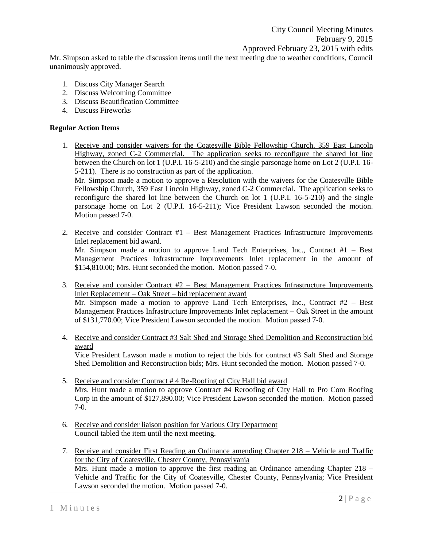Mr. Simpson asked to table the discussion items until the next meeting due to weather conditions, Council unanimously approved.

- 1. Discuss City Manager Search
- 2. Discuss Welcoming Committee
- 3. Discuss Beautification Committee
- 4. Discuss Fireworks

## **Regular Action Items**

1. Receive and consider waivers for the Coatesville Bible Fellowship Church, 359 East Lincoln Highway, zoned C-2 Commercial. The application seeks to reconfigure the shared lot line between the Church on lot 1 (U.P.I. 16-5-210) and the single parsonage home on Lot 2 (U.P.I. 16- 5-211). There is no construction as part of the application.

Mr. Simpson made a motion to approve a Resolution with the waivers for the Coatesville Bible Fellowship Church, 359 East Lincoln Highway, zoned C-2 Commercial. The application seeks to reconfigure the shared lot line between the Church on lot 1 (U.P.I. 16-5-210) and the single parsonage home on Lot 2 (U.P.I. 16-5-211); Vice President Lawson seconded the motion. Motion passed 7-0.

- 2. Receive and consider Contract #1 Best Management Practices Infrastructure Improvements Inlet replacement bid award. Mr. Simpson made a motion to approve Land Tech Enterprises, Inc., Contract #1 – Best Management Practices Infrastructure Improvements Inlet replacement in the amount of \$154,810.00; Mrs. Hunt seconded the motion. Motion passed 7-0.
- 3. Receive and consider Contract #2 Best Management Practices Infrastructure Improvements Inlet Replacement – Oak Street – bid replacement award Mr. Simpson made a motion to approve Land Tech Enterprises, Inc., Contract #2 – Best Management Practices Infrastructure Improvements Inlet replacement – Oak Street in the amount of \$131,770.00; Vice President Lawson seconded the motion. Motion passed 7-0.
- 4. Receive and consider Contract #3 Salt Shed and Storage Shed Demolition and Reconstruction bid award

Vice President Lawson made a motion to reject the bids for contract #3 Salt Shed and Storage Shed Demolition and Reconstruction bids; Mrs. Hunt seconded the motion. Motion passed 7-0.

- 5. Receive and consider Contract # 4 Re-Roofing of City Hall bid award Mrs. Hunt made a motion to approve Contract #4 Reroofing of City Hall to Pro Com Roofing Corp in the amount of \$127,890.00; Vice President Lawson seconded the motion. Motion passed 7-0.
- 6. Receive and consider liaison position for Various City Department Council tabled the item until the next meeting.
- 7. Receive and consider First Reading an Ordinance amending Chapter 218 Vehicle and Traffic for the City of Coatesville, Chester County, Pennsylvania Mrs. Hunt made a motion to approve the first reading an Ordinance amending Chapter 218 – Vehicle and Traffic for the City of Coatesville, Chester County, Pennsylvania; Vice President Lawson seconded the motion. Motion passed 7-0.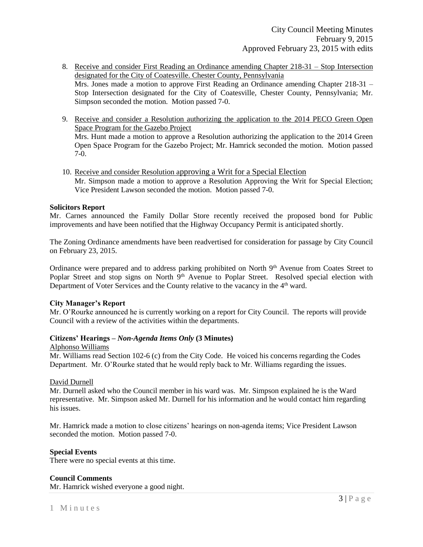- 8. Receive and consider First Reading an Ordinance amending Chapter 218-31 Stop Intersection designated for the City of Coatesville. Chester County, Pennsylvania Mrs. Jones made a motion to approve First Reading an Ordinance amending Chapter 218-31 – Stop Intersection designated for the City of Coatesville, Chester County, Pennsylvania; Mr. Simpson seconded the motion. Motion passed 7-0.
- 9. Receive and consider a Resolution authorizing the application to the 2014 PECO Green Open Space Program for the Gazebo Project Mrs. Hunt made a motion to approve a Resolution authorizing the application to the 2014 Green Open Space Program for the Gazebo Project; Mr. Hamrick seconded the motion. Motion passed 7-0.
- 10. Receive and consider Resolution approving a Writ for a Special Election Mr. Simpson made a motion to approve a Resolution Approving the Writ for Special Election; Vice President Lawson seconded the motion. Motion passed 7-0.

## **Solicitors Report**

Mr. Carnes announced the Family Dollar Store recently received the proposed bond for Public improvements and have been notified that the Highway Occupancy Permit is anticipated shortly.

The Zoning Ordinance amendments have been readvertised for consideration for passage by City Council on February 23, 2015.

Ordinance were prepared and to address parking prohibited on North 9<sup>th</sup> Avenue from Coates Street to Poplar Street and stop signs on North 9<sup>th</sup> Avenue to Poplar Street. Resolved special election with Department of Voter Services and the County relative to the vacancy in the 4<sup>th</sup> ward.

# **City Manager's Report**

Mr. O'Rourke announced he is currently working on a report for City Council. The reports will provide Council with a review of the activities within the departments.

# **Citizens' Hearings –** *Non-Agenda Items Only* **(3 Minutes)**

### Alphonso Williams

Mr. Williams read Section 102-6 (c) from the City Code. He voiced his concerns regarding the Codes Department. Mr. O'Rourke stated that he would reply back to Mr. Williams regarding the issues.

### David Durnell

Mr. Durnell asked who the Council member in his ward was. Mr. Simpson explained he is the Ward representative. Mr. Simpson asked Mr. Durnell for his information and he would contact him regarding his issues.

Mr. Hamrick made a motion to close citizens' hearings on non-agenda items; Vice President Lawson seconded the motion. Motion passed 7-0.

### **Special Events**

There were no special events at this time.

### **Council Comments**

Mr. Hamrick wished everyone a good night.